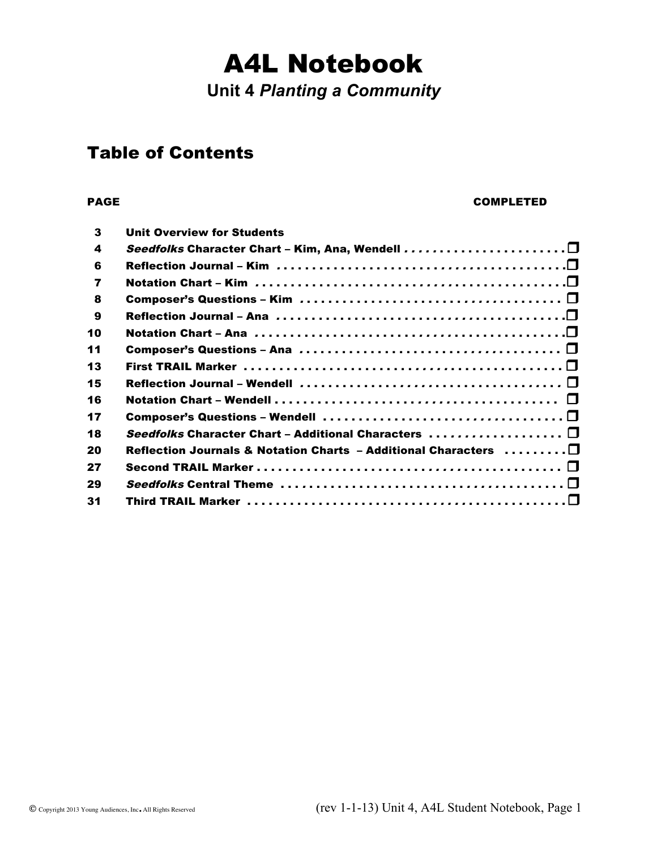# A4L Notebook

**Unit 4** *Planting a Community*

### Table of Contents

#### PAGE COMPLETED

| 3              | <b>Unit Overview for Students</b>                                                                     |
|----------------|-------------------------------------------------------------------------------------------------------|
| 4              |                                                                                                       |
| 6              |                                                                                                       |
| $\overline{7}$ |                                                                                                       |
| 8              |                                                                                                       |
| 9              |                                                                                                       |
| 10             |                                                                                                       |
| 11             |                                                                                                       |
| 13             |                                                                                                       |
| 15             | Reflection Journal – Wendell $\ldots\ldots\ldots\ldots\ldots\ldots\ldots\ldots\ldots\ldots\ldots\Box$ |
| 16             |                                                                                                       |
| 17             |                                                                                                       |
| 18             | Seedfolks Character Chart - Additional Characters $\ldots \ldots \ldots \ldots \ldots \square$        |
| 20             | Reflection Journals & Notation Charts - Additional Characters $\dots\dots\dots\Box$                   |
| 27             |                                                                                                       |
| 29             |                                                                                                       |
| 31             |                                                                                                       |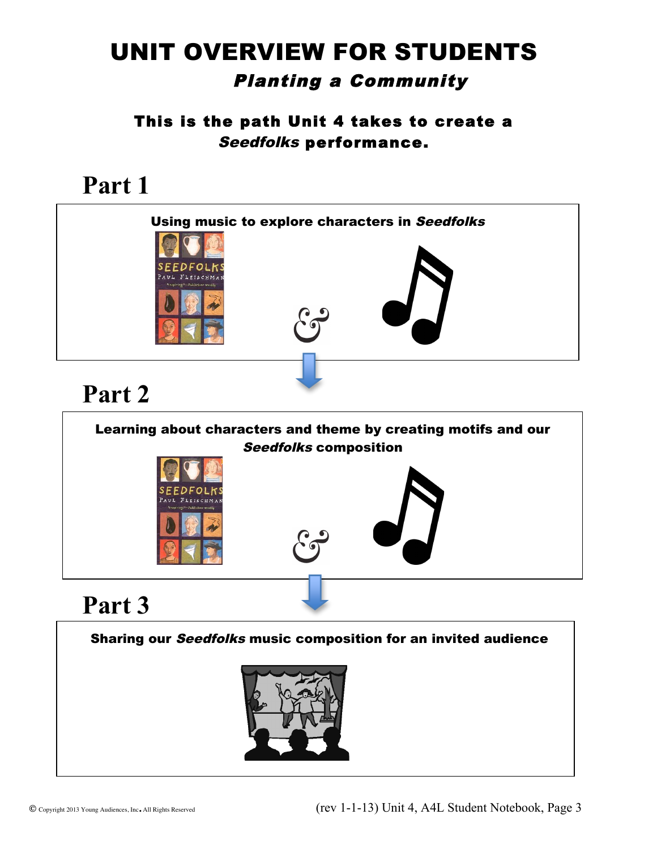### UNIT OVERVIEW FOR STUDENTS Planting a Community

This is the path Unit 4 takes to create a Seedfolks performance.

# **Part 1**





 $\overline{a}$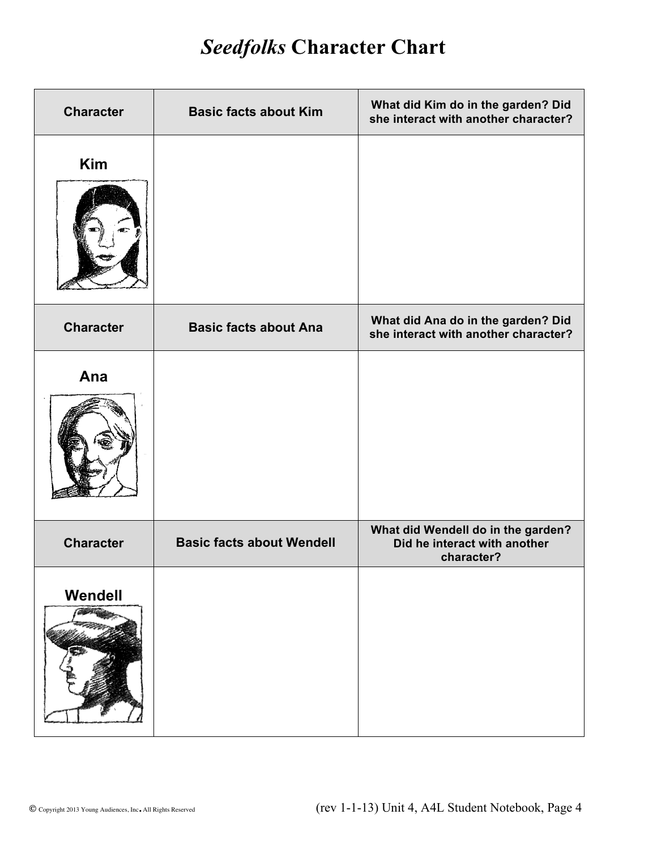### *Seedfolks* **Character Chart**

| <b>Character</b> | <b>Basic facts about Kim</b>     | What did Kim do in the garden? Did<br>she interact with another character?       |
|------------------|----------------------------------|----------------------------------------------------------------------------------|
| <b>Kim</b>       |                                  |                                                                                  |
| <b>Character</b> | <b>Basic facts about Ana</b>     | What did Ana do in the garden? Did<br>she interact with another character?       |
| Ana              |                                  |                                                                                  |
| <b>Character</b> | <b>Basic facts about Wendell</b> | What did Wendell do in the garden?<br>Did he interact with another<br>character? |
| Wendell          |                                  |                                                                                  |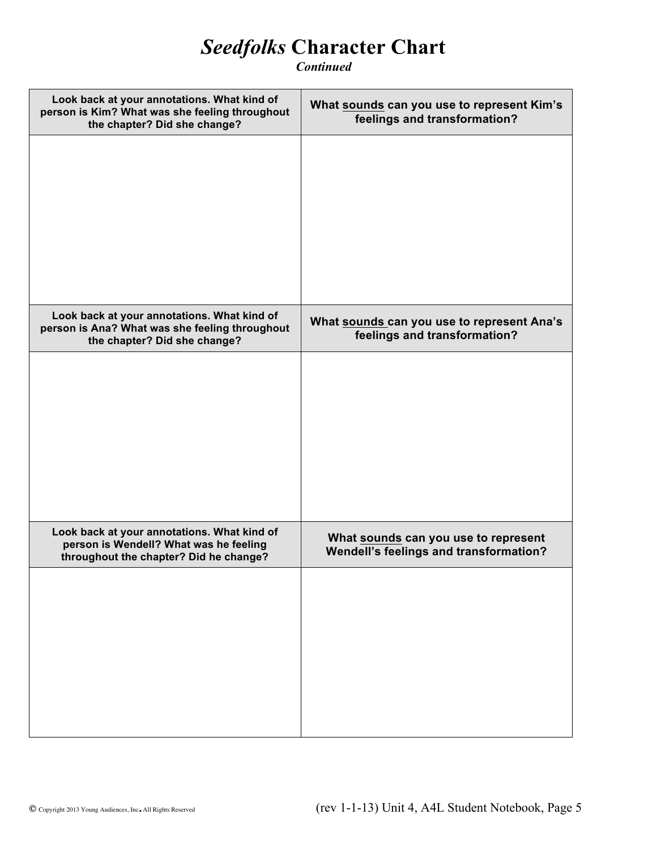### *Seedfolks* **Character Chart**

*Continued*

| Look back at your annotations. What kind of<br>person is Kim? What was she feeling throughout<br>the chapter? Did she change?   | What sounds can you use to represent Kim's<br>feelings and transformation?     |
|---------------------------------------------------------------------------------------------------------------------------------|--------------------------------------------------------------------------------|
|                                                                                                                                 |                                                                                |
|                                                                                                                                 |                                                                                |
|                                                                                                                                 |                                                                                |
|                                                                                                                                 |                                                                                |
| Look back at your annotations. What kind of<br>person is Ana? What was she feeling throughout<br>the chapter? Did she change?   | What sounds can you use to represent Ana's<br>feelings and transformation?     |
|                                                                                                                                 |                                                                                |
|                                                                                                                                 |                                                                                |
|                                                                                                                                 |                                                                                |
|                                                                                                                                 |                                                                                |
| Look back at your annotations. What kind of<br>person is Wendell? What was he feeling<br>throughout the chapter? Did he change? | What sounds can you use to represent<br>Wendell's feelings and transformation? |
|                                                                                                                                 |                                                                                |
|                                                                                                                                 |                                                                                |
|                                                                                                                                 |                                                                                |
|                                                                                                                                 |                                                                                |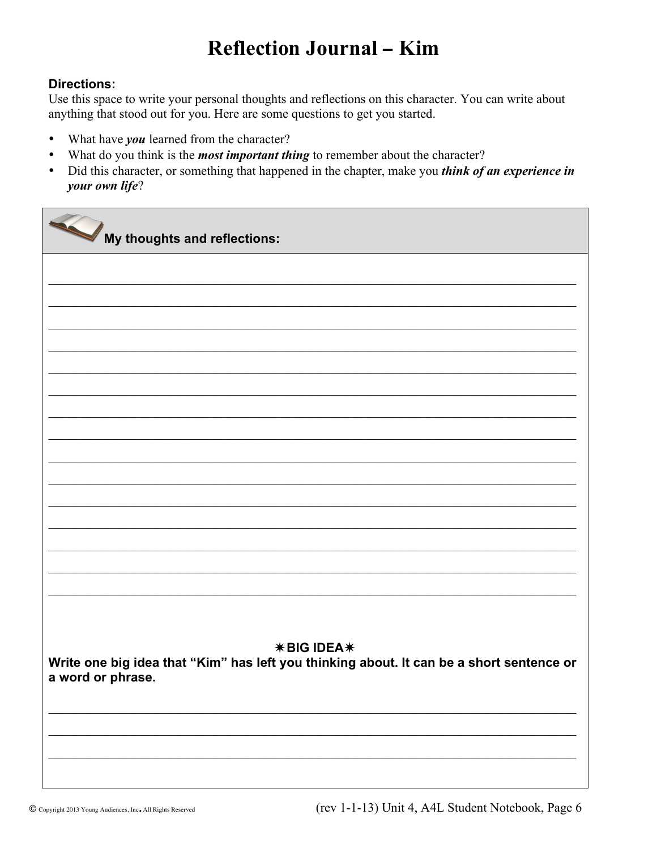### **Reflection Journal - Kim**

#### **Directions:**

Use this space to write your personal thoughts and reflections on this character. You can write about anything that stood out for you. Here are some questions to get you started.

- What have you learned from the character?
- What do you think is the *most important thing* to remember about the character?  $\bullet$
- Did this character, or something that happened in the chapter, make you *think of an experience in*  $\bullet$  . your own life?

My thoughts and reflections: **\*BIG IDEA\*** Write one big idea that "Kim" has left you thinking about. It can be a short sentence or a word or phrase.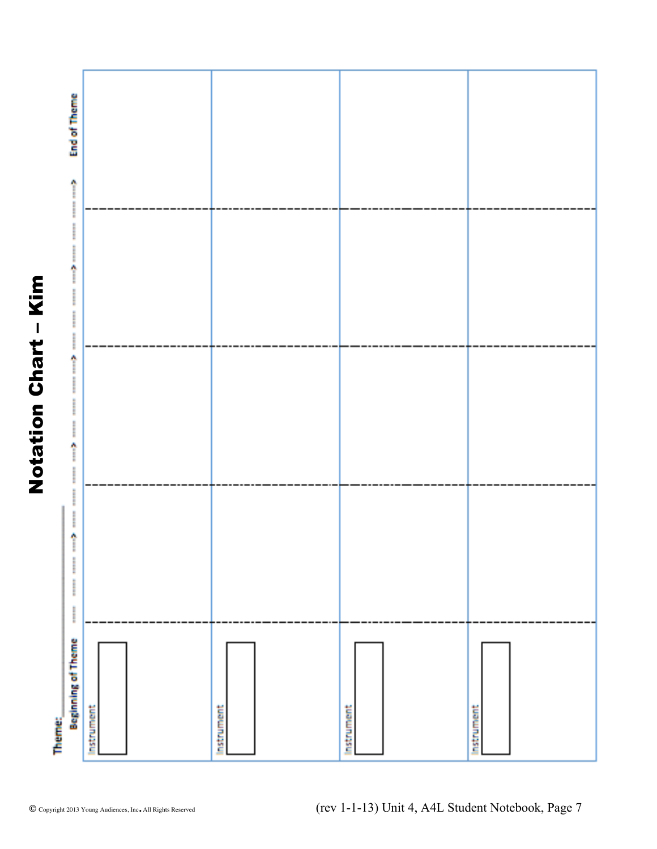

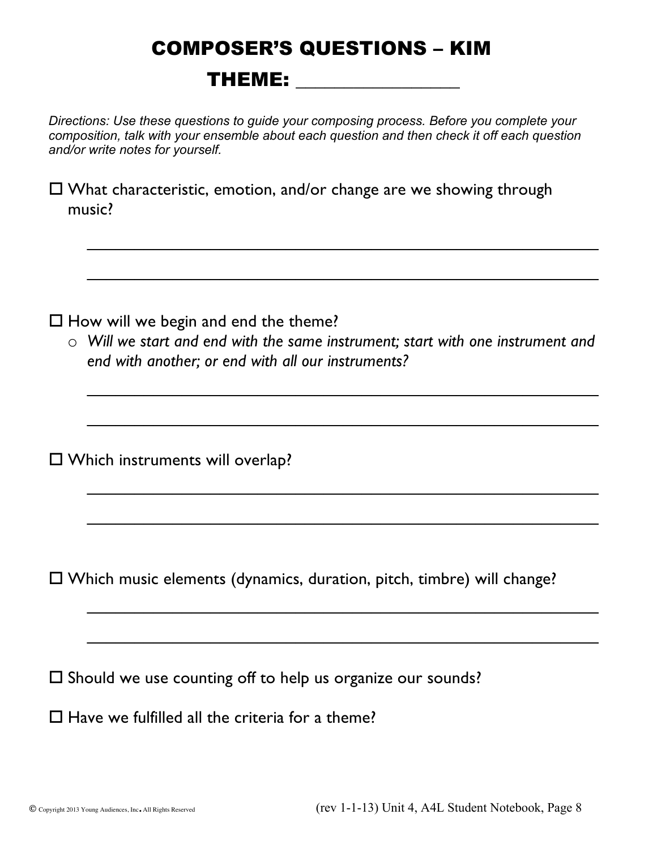# COMPOSER'S QUESTIONS – KIM THEME: \_\_\_\_\_\_\_\_\_\_\_\_\_\_\_\_\_

*Directions: Use these questions to guide your composing process. Before you complete your composition, talk with your ensemble about each question and then check it off each question and/or write notes for yourself.*

 $\square$  What characteristic, emotion, and/or change are we showing through music?

 $\square$  How will we begin and end the theme?

o *Will we start and end with the same instrument; start with one instrument and end with another; or end with all our instruments?*

 $\_$ 

 $\mathcal{L}_\text{max}$  , and the contract of the contract of the contract of the contract of the contract of the contract of the contract of the contract of the contract of the contract of the contract of the contract of the contr

 $\_$ 

 $\overline{\phantom{a}}$ 

 $\mathcal{L}_\text{max}$  , and the contract of the contract of the contract of the contract of the contract of the contract of the contract of the contract of the contract of the contract of the contract of the contract of the contr

 $\overline{\phantom{a}}$ 

 $\_$ 

 $\_$ 

 $\square$  Which instruments will overlap?

 $\square$  Which music elements (dynamics, duration, pitch, timbre) will change?

 $\square$  Should we use counting off to help us organize our sounds?

 $\square$  Have we fulfilled all the criteria for a theme?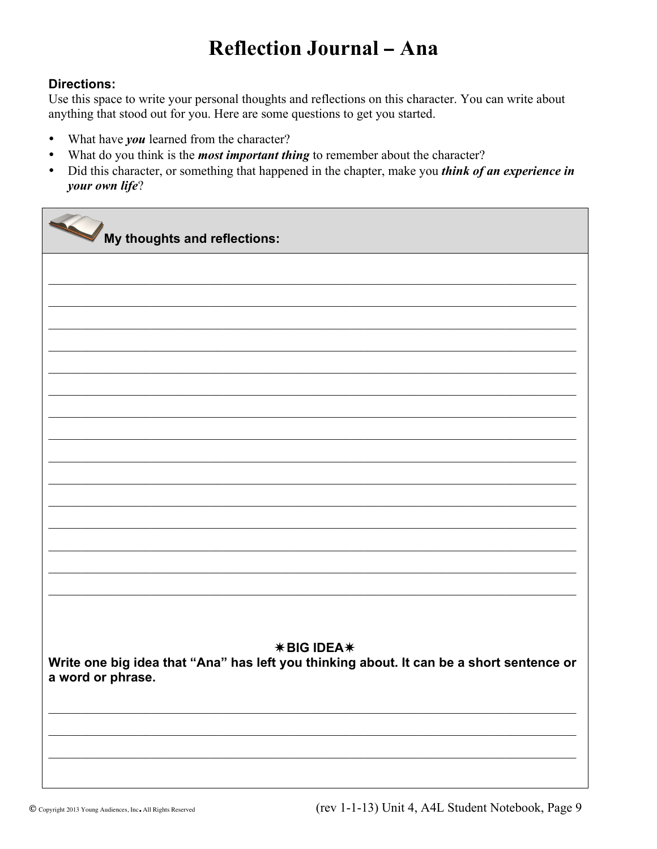### **Reflection Journal - Ana**

#### **Directions:**

Use this space to write your personal thoughts and reflections on this character. You can write about anything that stood out for you. Here are some questions to get you started.

- What have you learned from the character?
- What do you think is the *most important thing* to remember about the character?  $\bullet$
- Did this character, or something that happened in the chapter, make you *think of an experience in*  $\bullet$  . your own life?

My thoughts and reflections: **\*BIG IDEA\*** Write one big idea that "Ana" has left you thinking about. It can be a short sentence or a word or phrase.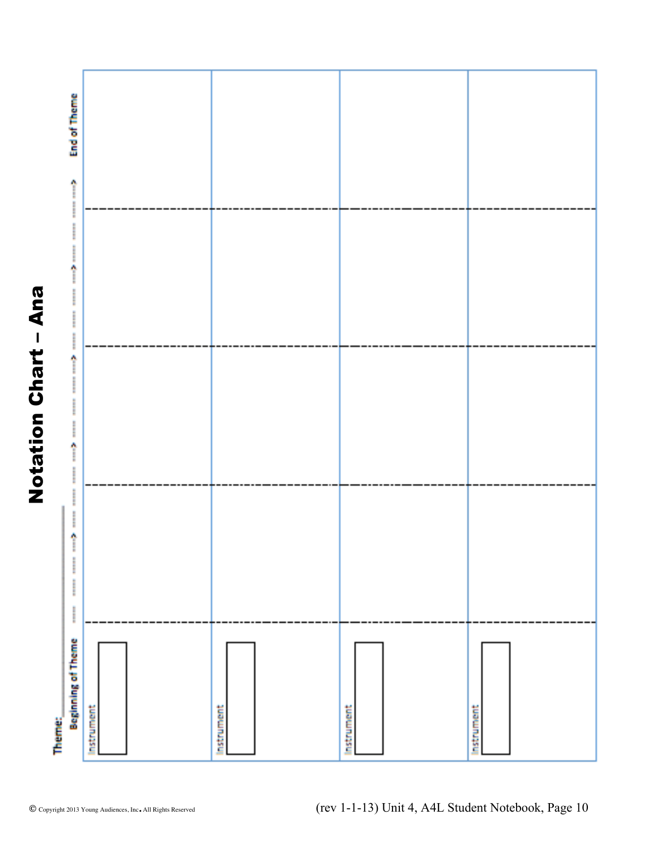

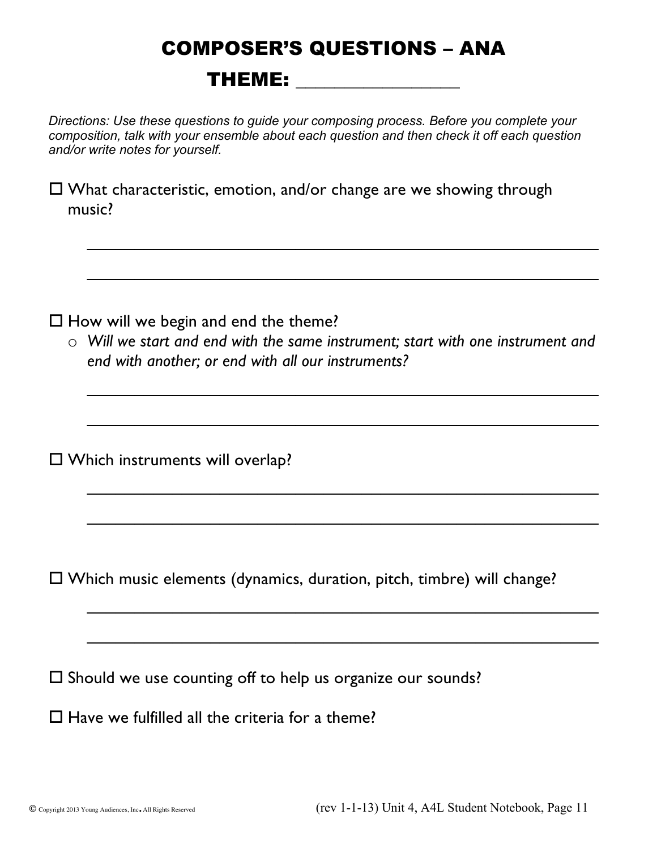# COMPOSER'S QUESTIONS – ANA THEME: \_\_\_\_\_\_\_\_\_\_\_\_\_\_\_\_\_

*Directions: Use these questions to guide your composing process. Before you complete your composition, talk with your ensemble about each question and then check it off each question and/or write notes for yourself.*

 $\square$  What characteristic, emotion, and/or change are we showing through music?

 $\square$  How will we begin and end the theme?

o *Will we start and end with the same instrument; start with one instrument and end with another; or end with all our instruments?*

 $\overline{\phantom{a}}$ 

 $\_$ 

 $\mathcal{L}_\text{max}$  , and the contract of the contract of the contract of the contract of the contract of the contract of the contract of the contract of the contract of the contract of the contract of the contract of the contr

 $\overline{\phantom{a}}$  , and the contribution of the contribution of the contribution of the contribution of the contribution of the contribution of the contribution of the contribution of the contribution of the contribution of the

 $\_$ 

 $\overline{\phantom{a}}$ 

 $\_$ 

 $\_$ 

 $\square$  Which instruments will overlap?

 $\square$  Which music elements (dynamics, duration, pitch, timbre) will change?

 $\square$  Should we use counting off to help us organize our sounds?

 $\square$  Have we fulfilled all the criteria for a theme?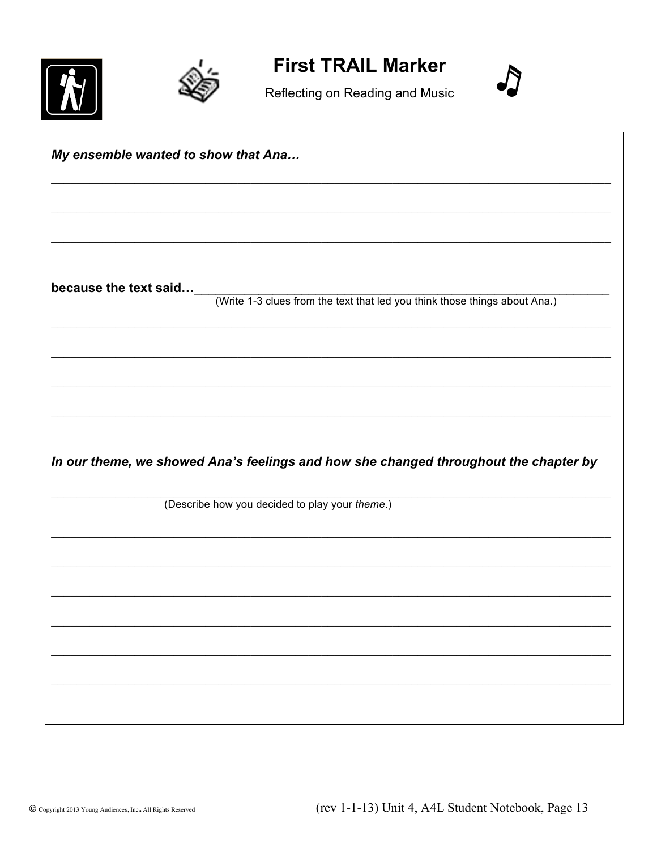



**First TRAIL Marker** 



Reflecting on Reading and Music

My ensemble wanted to show that Ana... because the text said... (Write 1-3 clues from the text that led you think those things about Ana.) In our theme, we showed Ana's feelings and how she changed throughout the chapter by (Describe how you decided to play your theme.)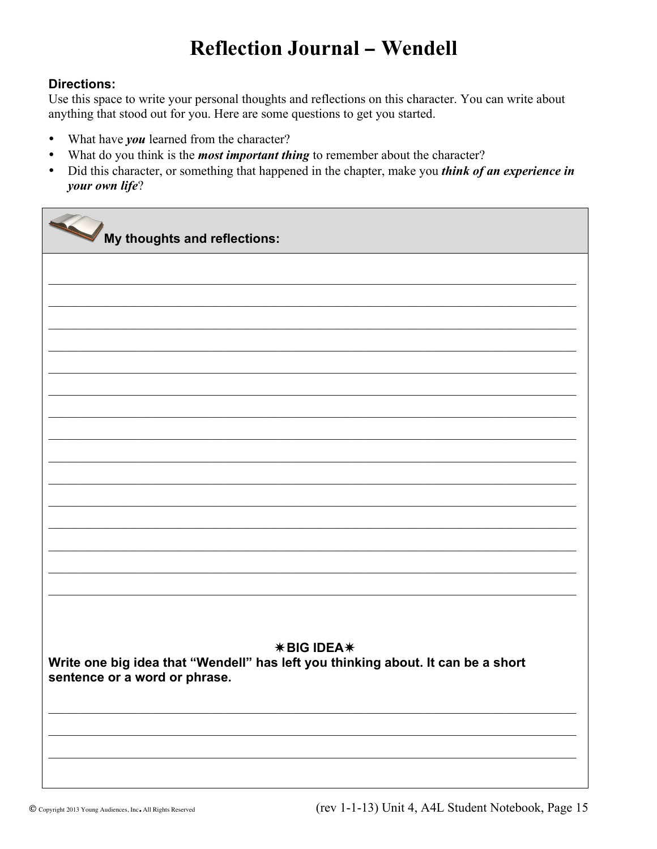### **Reflection Journal - Wendell**

#### **Directions:**

Use this space to write your personal thoughts and reflections on this character. You can write about anything that stood out for you. Here are some questions to get you started.

- What have you learned from the character?
- What do you think is the *most important thing* to remember about the character?  $\bullet$
- Did this character, or something that happened in the chapter, make you *think of an experience in*  $\bullet$  . your own life?

My thoughts and reflections: **\*BIG IDEA\*** Write one big idea that "Wendell" has left you thinking about. It can be a short sentence or a word or phrase.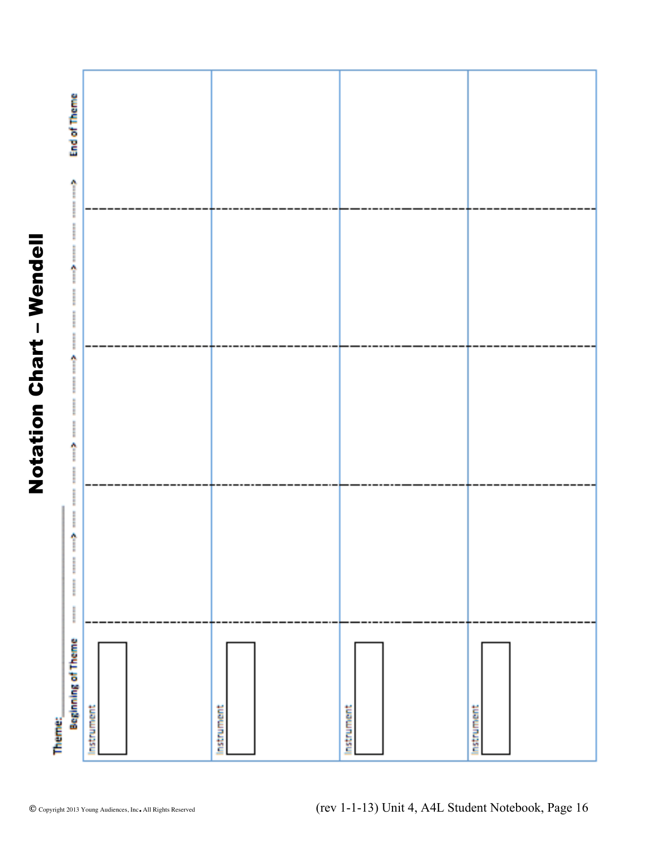

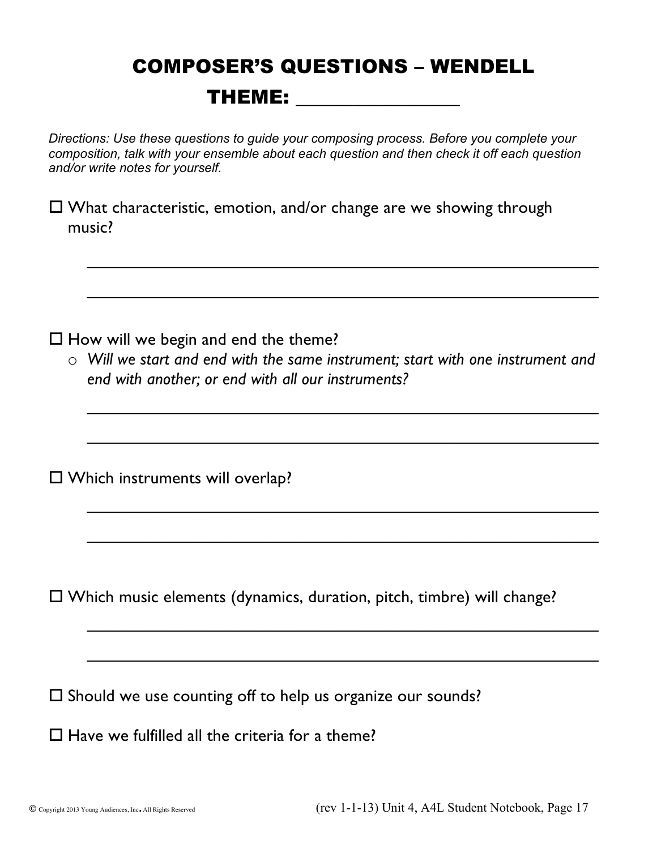## COMPOSER'S QUESTIONS – WENDELL THEME:

*Directions: Use these questions to guide your composing process. Before you complete your composition, talk with your ensemble about each question and then check it off each question and/or write notes for yourself.*

 $\square$  What characteristic, emotion, and/or change are we showing through music?

 $\Box$  How will we begin and end the theme?

o *Will we start and end with the same instrument; start with one instrument and end with another; or end with all our instruments?*

 $\_$ 

 $\overline{\phantom{a}}$ 

 $\mathcal{L}_\text{max}$  , and the contract of the contract of the contract of the contract of the contract of the contract of the contract of the contract of the contract of the contract of the contract of the contract of the contr

 $\mathcal{L}_\text{max}$  , and the contract of the contract of the contract of the contract of the contract of the contract of the contract of the contract of the contract of the contract of the contract of the contract of the contr

 $\_$ 

 $\mathcal{L}_\text{max}$  , and the contract of the contract of the contract of the contract of the contract of the contract of the contract of the contract of the contract of the contract of the contract of the contract of the contr

 $\_$ 

 $\_$ 

 $\square$  Which instruments will overlap?

 $\square$  Which music elements (dynamics, duration, pitch, timbre) will change?

 $\square$  Should we use counting off to help us organize our sounds?

 $\square$  Have we fulfilled all the criteria for a theme?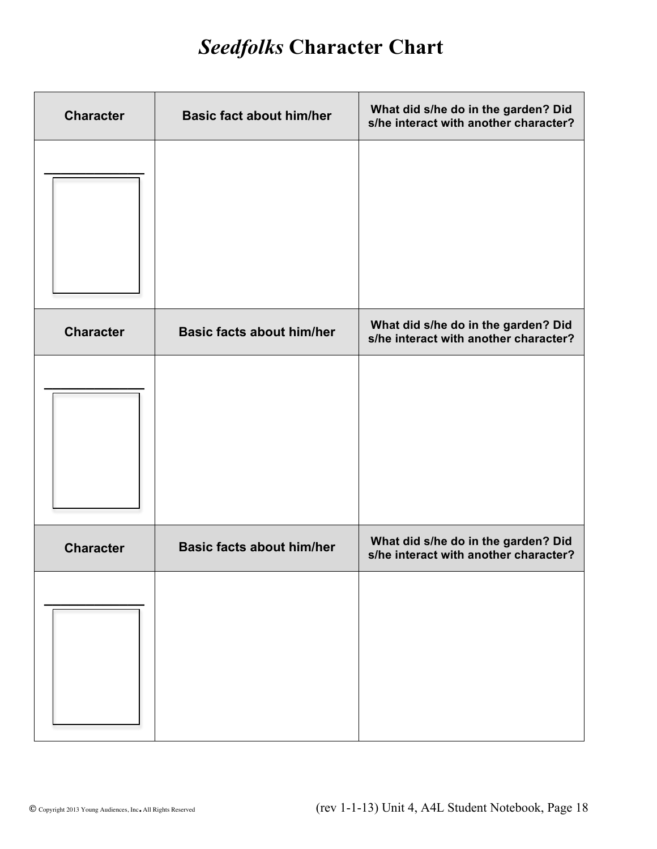# *Seedfolks* **Character Chart**

| <b>Character</b> | <b>Basic fact about him/her</b>  | What did s/he do in the garden? Did<br>s/he interact with another character? |
|------------------|----------------------------------|------------------------------------------------------------------------------|
|                  |                                  |                                                                              |
| <b>Character</b> | <b>Basic facts about him/her</b> | What did s/he do in the garden? Did<br>s/he interact with another character? |
|                  |                                  |                                                                              |
| <b>Character</b> | <b>Basic facts about him/her</b> | What did s/he do in the garden? Did<br>s/he interact with another character? |
|                  |                                  |                                                                              |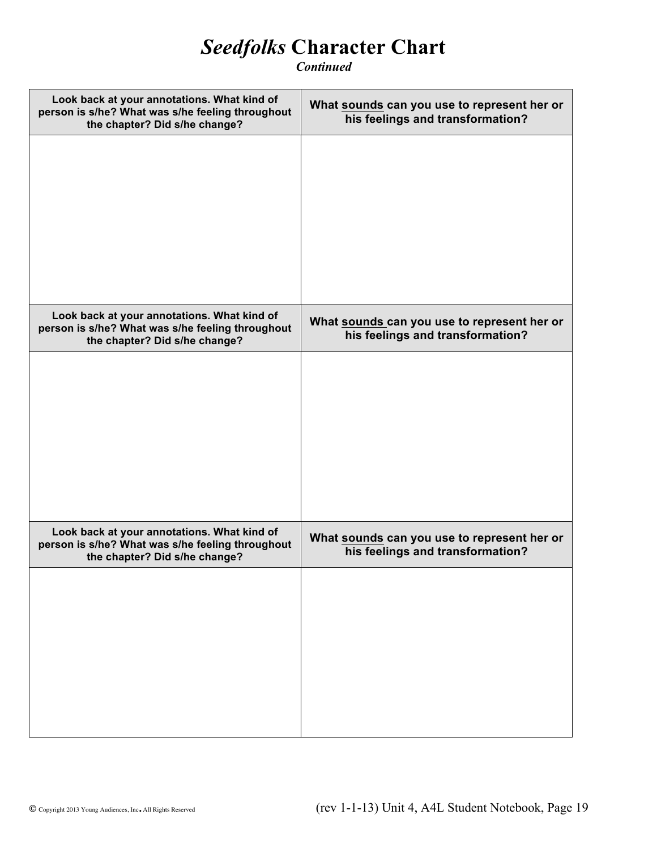### *Seedfolks* **Character Chart**

*Continued*

| Look back at your annotations. What kind of<br>person is s/he? What was s/he feeling throughout<br>the chapter? Did s/he change? | What sounds can you use to represent her or<br>his feelings and transformation? |
|----------------------------------------------------------------------------------------------------------------------------------|---------------------------------------------------------------------------------|
|                                                                                                                                  |                                                                                 |
|                                                                                                                                  |                                                                                 |
|                                                                                                                                  |                                                                                 |
|                                                                                                                                  |                                                                                 |
| Look back at your annotations. What kind of<br>person is s/he? What was s/he feeling throughout<br>the chapter? Did s/he change? | What sounds can you use to represent her or<br>his feelings and transformation? |
|                                                                                                                                  |                                                                                 |
|                                                                                                                                  |                                                                                 |
|                                                                                                                                  |                                                                                 |
|                                                                                                                                  |                                                                                 |
| Look back at your annotations. What kind of<br>person is s/he? What was s/he feeling throughout<br>the chapter? Did s/he change? | What sounds can you use to represent her or<br>his feelings and transformation? |
|                                                                                                                                  |                                                                                 |
|                                                                                                                                  |                                                                                 |
|                                                                                                                                  |                                                                                 |
|                                                                                                                                  |                                                                                 |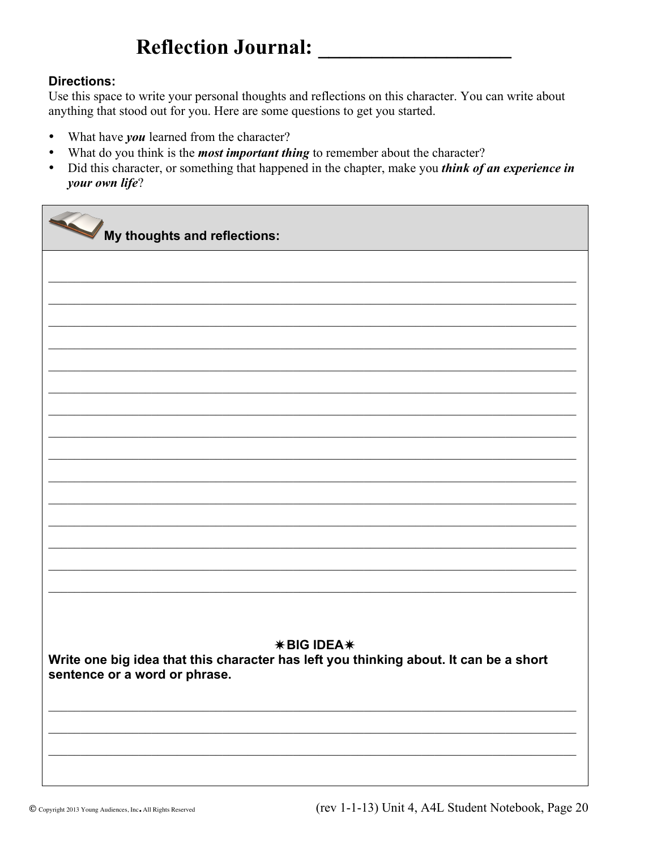### **Reflection Journal:**

### **Directions:**

Use this space to write your personal thoughts and reflections on this character. You can write about anything that stood out for you. Here are some questions to get you started.

- What have *you* learned from the character?  $\bullet$
- What do you think is the *most important thing* to remember about the character?  $\bullet$
- Did this character, or something that happened in the chapter, make you *think of an experience in* your own life?

My thoughts and reflections: **\*BIG IDEA\*** Write one big idea that this character has left you thinking about. It can be a short sentence or a word or phrase.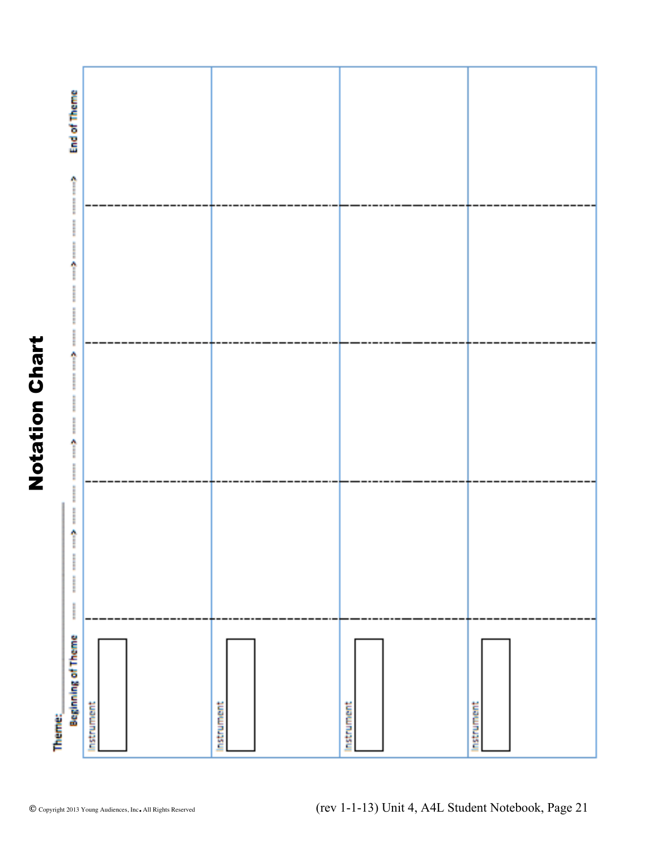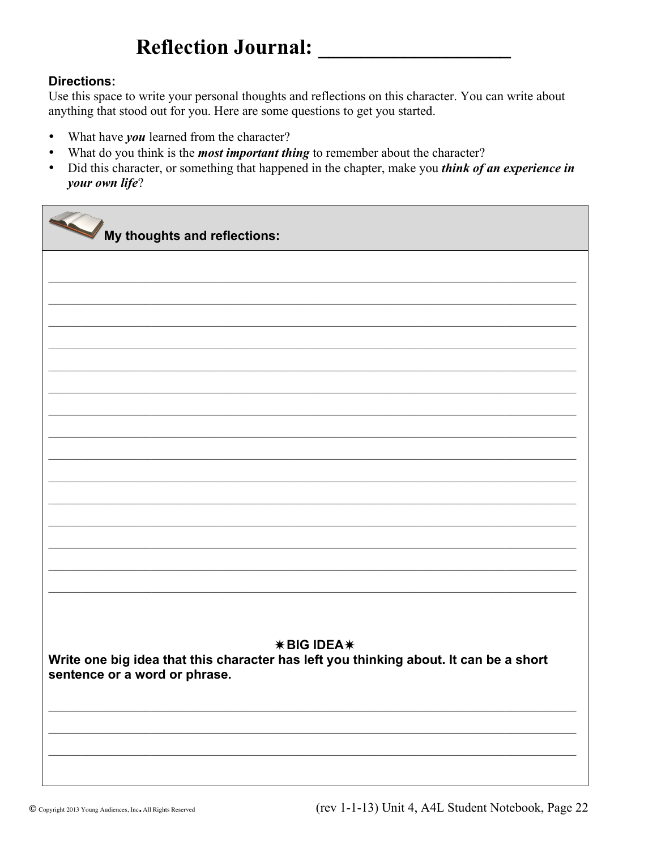### **Reflection Journal:**

### **Directions:**

Use this space to write your personal thoughts and reflections on this character. You can write about anything that stood out for you. Here are some questions to get you started.

- What have *you* learned from the character?  $\bullet$
- What do you think is the *most important thing* to remember about the character?  $\bullet$
- Did this character, or something that happened in the chapter, make you *think of an experience in* your own life?

My thoughts and reflections: **\*BIG IDEA\*** Write one big idea that this character has left you thinking about. It can be a short sentence or a word or phrase.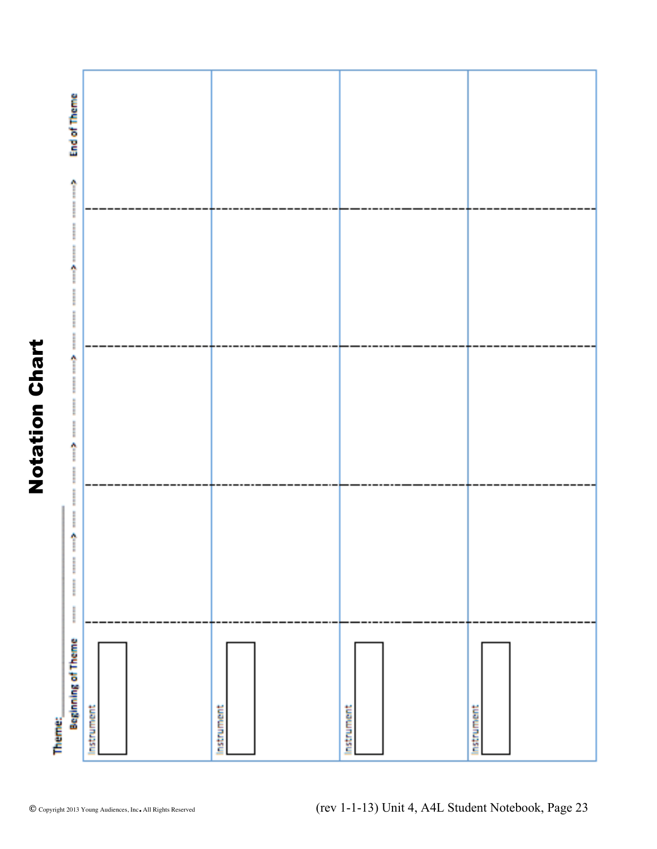

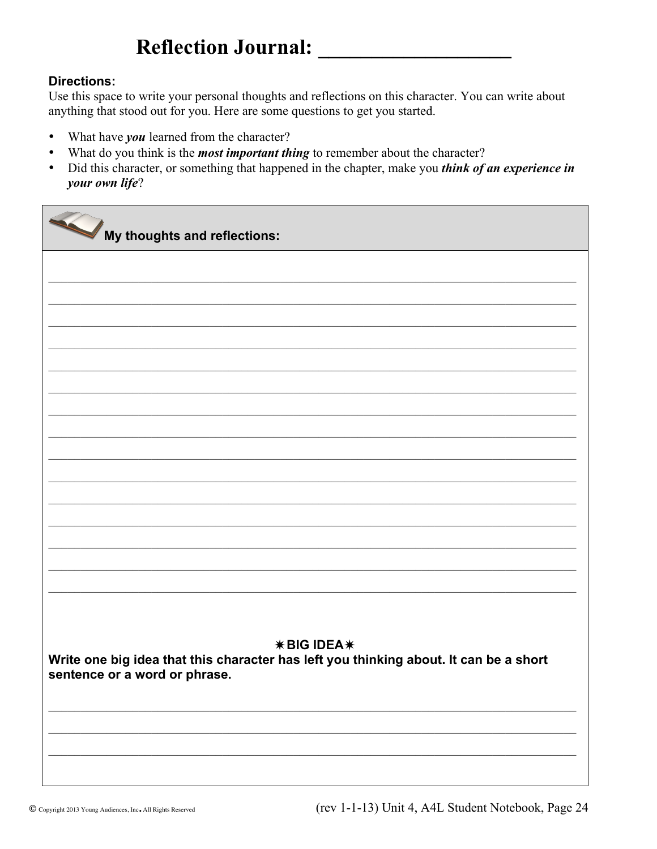### **Reflection Journal:**

### **Directions:**

Use this space to write your personal thoughts and reflections on this character. You can write about anything that stood out for you. Here are some questions to get you started.

- What have *you* learned from the character?  $\bullet$
- What do you think is the *most important thing* to remember about the character?  $\bullet$
- Did this character, or something that happened in the chapter, make you *think of an experience in* your own life?

My thoughts and reflections: **\*BIG IDEA\*** Write one big idea that this character has left you thinking about. It can be a short sentence or a word or phrase.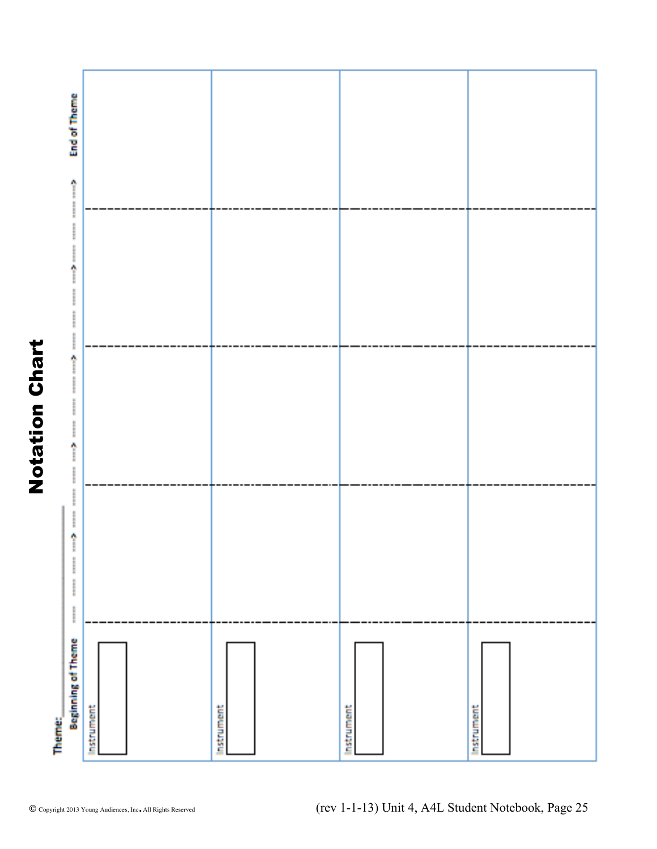

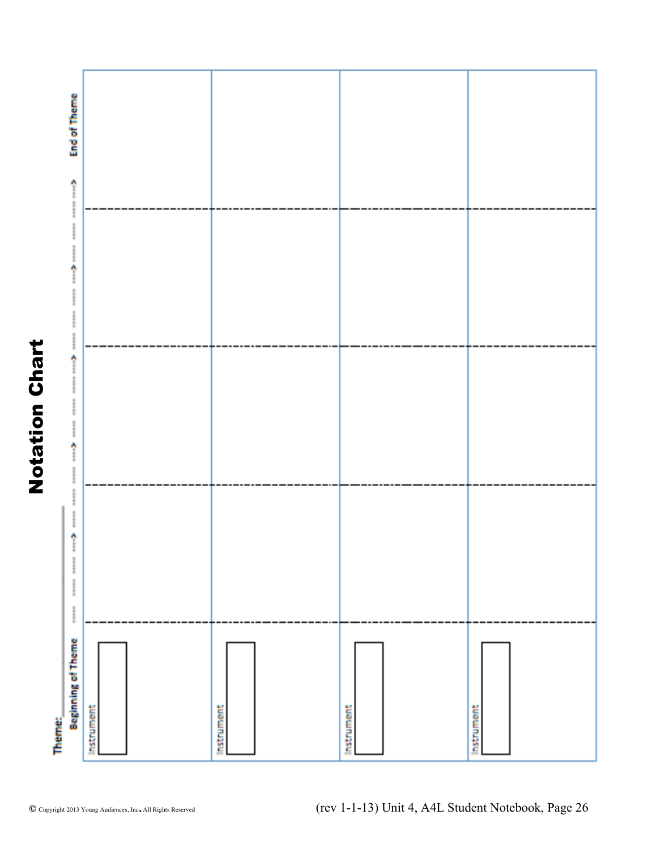

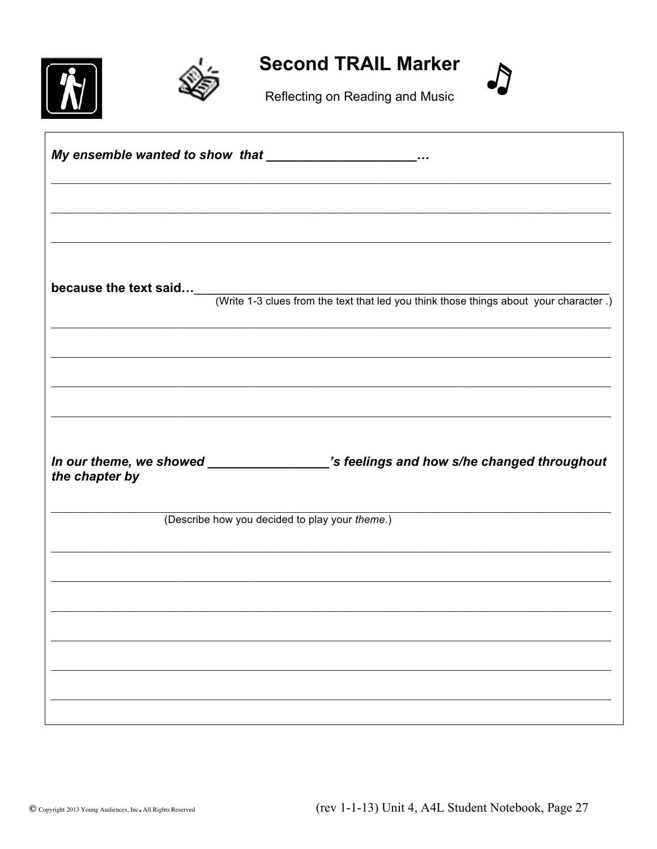



**Second TRAIL Marker** 



Reflecting on Reading and Music

|                | My ensemble wanted to show that _____________________                                                                 |
|----------------|-----------------------------------------------------------------------------------------------------------------------|
|                |                                                                                                                       |
|                |                                                                                                                       |
|                |                                                                                                                       |
|                |                                                                                                                       |
|                |                                                                                                                       |
|                | <b>because the text said</b><br>(Write 1-3 clues from the text that led you think those things about your character.) |
|                |                                                                                                                       |
|                |                                                                                                                       |
|                | <u> 1989 - Paris Alexandria de Carlos III e a contra de la carlo de la carlo de la carlo de la carlo de la carlo</u>  |
|                |                                                                                                                       |
|                |                                                                                                                       |
|                |                                                                                                                       |
|                |                                                                                                                       |
|                | (Describe how you decided to play your theme.)                                                                        |
|                |                                                                                                                       |
|                |                                                                                                                       |
|                | ,我们也不能在这里的人,我们也不能在这里的人,我们也不能在这里的人,我们也不能在这里的人,我们也不能在这里的人,我们也不能在这里的人,我们也不能在这里的人,我们也                                     |
|                |                                                                                                                       |
|                |                                                                                                                       |
|                |                                                                                                                       |
| the chapter by | In our theme, we showed _________________'s feelings and how s/he changed throughout                                  |
|                |                                                                                                                       |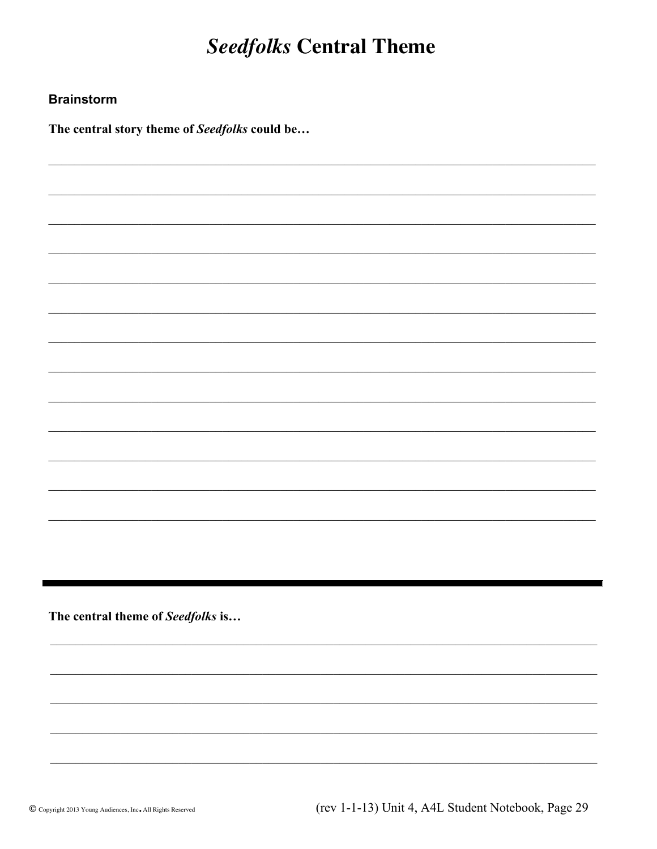### **Seedfolks Central Theme**

### **Brainstorm**

The central story theme of Seedfolks could be...

The central theme of Seedfolks is...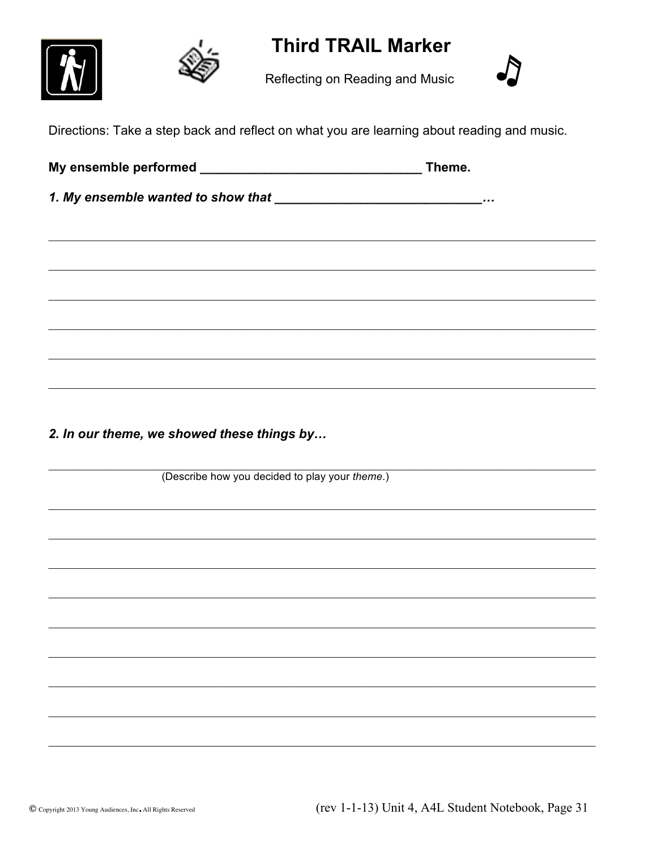### **Third TRAIL Marker**







Directions: Take a step back and reflect on what you are learning about reading and music.

| Theme. |
|--------|
|        |
|        |
|        |
|        |
|        |
|        |
|        |
|        |

2. In our theme, we showed these things by...

(Describe how you decided to play your theme.)